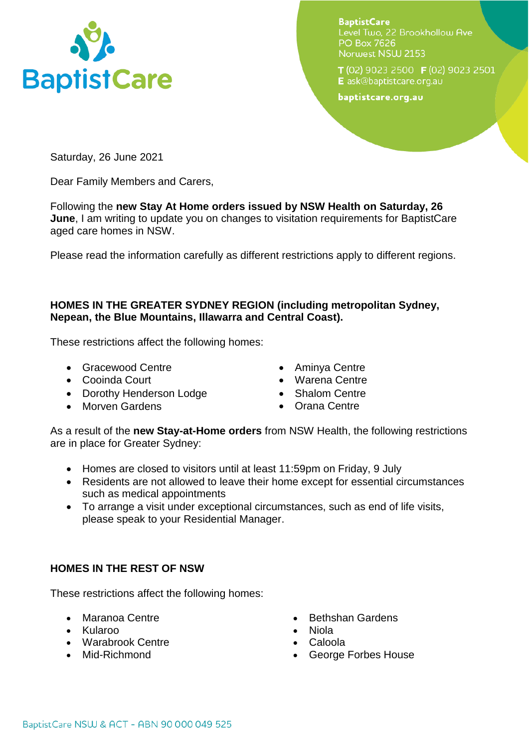

**BaptistCare** Level Two. 22 Brookhollow Ave **PO Box 7626** Norwest NSW 2153

T (02) 9023 2500 F (02) 9023 2501 E ask@baptistcare.org.au

baptistcare.org.au

Saturday, 26 June 2021

Dear Family Members and Carers,

Following the **new Stay At Home orders issued by NSW Health on Saturday, 26 June**, I am writing to update you on changes to visitation requirements for BaptistCare aged care homes in NSW.

Please read the information carefully as different restrictions apply to different regions.

## **HOMES IN THE GREATER SYDNEY REGION (including metropolitan Sydney, Nepean, the Blue Mountains, Illawarra and Central Coast).**

These restrictions affect the following homes:

- **•** Gracewood Centre
- Cooinda Court
- Dorothy Henderson Lodge
- Morven Gardens
- Aminya Centre
- Warena Centre
- Shalom Centre
- Orana Centre

As a result of the **new Stay-at-Home orders** from NSW Health, the following restrictions are in place for Greater Sydney:

- Homes are closed to visitors until at least 11:59pm on Friday, 9 July
- Residents are not allowed to leave their home except for essential circumstances such as medical appointments
- To arrange a visit under exceptional circumstances, such as end of life visits, please speak to your Residential Manager.

## **HOMES IN THE REST OF NSW**

These restrictions affect the following homes:

- Maranoa Centre
- Kularoo
- Warabrook Centre
- Mid-Richmond
- Bethshan Gardens
- Niola
- Caloola
- George Forbes House